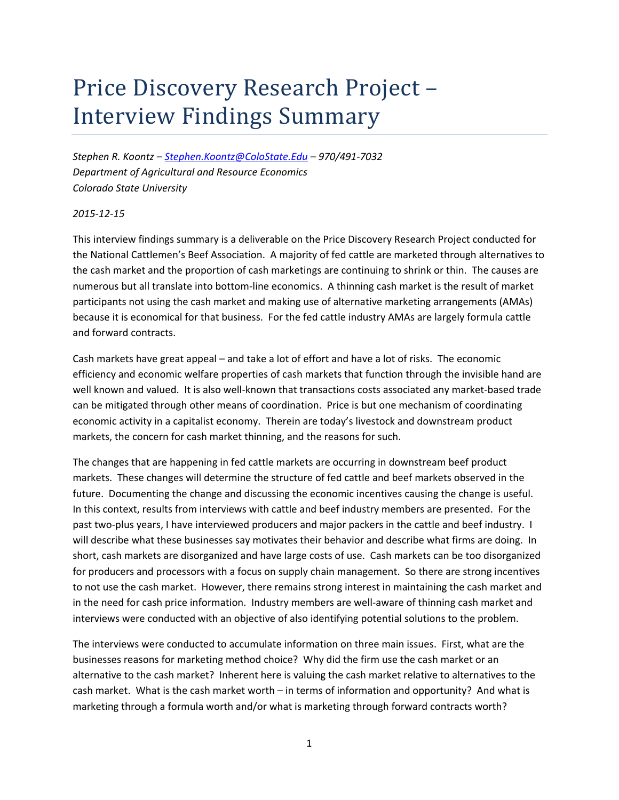# Price Discovery Research Project -**Interview Findings Summary**

*Stephen R. Koontz – Stephen.Koontz@ColoState.Edu – 970/491‐7032 Department of Agricultural and Resource Economics Colorado State University*

## *2015‐12‐15*

This interview findings summary is a deliverable on the Price Discovery Research Project conducted for the National Cattlemen's Beef Association. A majority of fed cattle are marketed through alternatives to the cash market and the proportion of cash marketings are continuing to shrink or thin. The causes are numerous but all translate into bottom‐line economics. A thinning cash market is the result of market participants not using the cash market and making use of alternative marketing arrangements (AMAs) because it is economical for that business. For the fed cattle industry AMAs are largely formula cattle and forward contracts.

Cash markets have great appeal – and take a lot of effort and have a lot of risks. The economic efficiency and economic welfare properties of cash markets that function through the invisible hand are well known and valued. It is also well-known that transactions costs associated any market-based trade can be mitigated through other means of coordination. Price is but one mechanism of coordinating economic activity in a capitalist economy. Therein are today's livestock and downstream product markets, the concern for cash market thinning, and the reasons for such.

The changes that are happening in fed cattle markets are occurring in downstream beef product markets. These changes will determine the structure of fed cattle and beef markets observed in the future. Documenting the change and discussing the economic incentives causing the change is useful. In this context, results from interviews with cattle and beef industry members are presented. For the past two-plus years, I have interviewed producers and major packers in the cattle and beef industry. I will describe what these businesses say motivates their behavior and describe what firms are doing. In short, cash markets are disorganized and have large costs of use. Cash markets can be too disorganized for producers and processors with a focus on supply chain management. So there are strong incentives to not use the cash market. However, there remains strong interest in maintaining the cash market and in the need for cash price information. Industry members are well‐aware of thinning cash market and interviews were conducted with an objective of also identifying potential solutions to the problem.

The interviews were conducted to accumulate information on three main issues. First, what are the businesses reasons for marketing method choice? Why did the firm use the cash market or an alternative to the cash market? Inherent here is valuing the cash market relative to alternatives to the cash market. What is the cash market worth – in terms of information and opportunity? And what is marketing through a formula worth and/or what is marketing through forward contracts worth?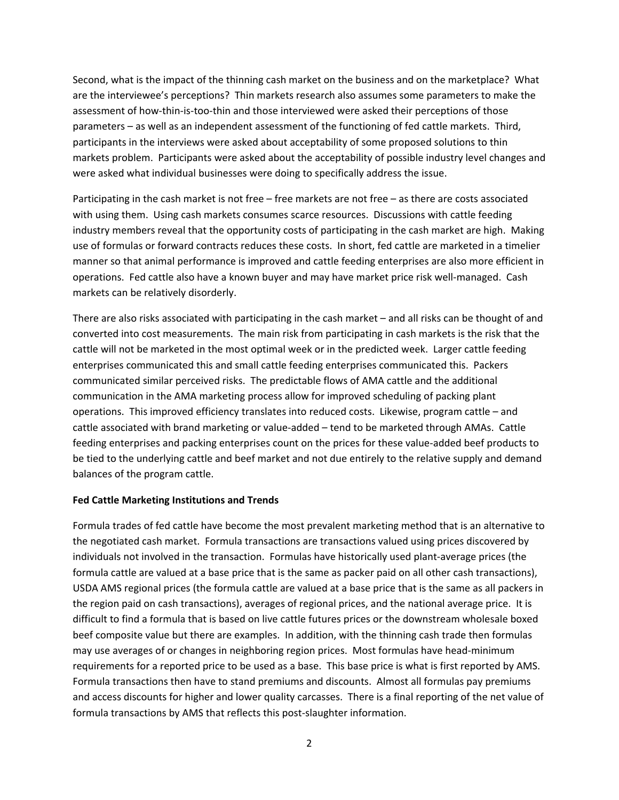Second, what is the impact of the thinning cash market on the business and on the marketplace? What are the interviewee's perceptions? Thin markets research also assumes some parameters to make the assessment of how-thin-is-too-thin and those interviewed were asked their perceptions of those parameters – as well as an independent assessment of the functioning of fed cattle markets. Third, participants in the interviews were asked about acceptability of some proposed solutions to thin markets problem. Participants were asked about the acceptability of possible industry level changes and were asked what individual businesses were doing to specifically address the issue.

Participating in the cash market is not free – free markets are not free – as there are costs associated with using them. Using cash markets consumes scarce resources. Discussions with cattle feeding industry members reveal that the opportunity costs of participating in the cash market are high. Making use of formulas or forward contracts reduces these costs. In short, fed cattle are marketed in a timelier manner so that animal performance is improved and cattle feeding enterprises are also more efficient in operations. Fed cattle also have a known buyer and may have market price risk well‐managed. Cash markets can be relatively disorderly.

There are also risks associated with participating in the cash market – and all risks can be thought of and converted into cost measurements. The main risk from participating in cash markets is the risk that the cattle will not be marketed in the most optimal week or in the predicted week. Larger cattle feeding enterprises communicated this and small cattle feeding enterprises communicated this. Packers communicated similar perceived risks. The predictable flows of AMA cattle and the additional communication in the AMA marketing process allow for improved scheduling of packing plant operations. This improved efficiency translates into reduced costs. Likewise, program cattle – and cattle associated with brand marketing or value‐added – tend to be marketed through AMAs. Cattle feeding enterprises and packing enterprises count on the prices for these value‐added beef products to be tied to the underlying cattle and beef market and not due entirely to the relative supply and demand balances of the program cattle.

### **Fed Cattle Marketing Institutions and Trends**

Formula trades of fed cattle have become the most prevalent marketing method that is an alternative to the negotiated cash market. Formula transactions are transactions valued using prices discovered by individuals not involved in the transaction. Formulas have historically used plant‐average prices (the formula cattle are valued at a base price that is the same as packer paid on all other cash transactions), USDA AMS regional prices (the formula cattle are valued at a base price that is the same as all packers in the region paid on cash transactions), averages of regional prices, and the national average price. It is difficult to find a formula that is based on live cattle futures prices or the downstream wholesale boxed beef composite value but there are examples. In addition, with the thinning cash trade then formulas may use averages of or changes in neighboring region prices. Most formulas have head‐minimum requirements for a reported price to be used as a base. This base price is what is first reported by AMS. Formula transactions then have to stand premiums and discounts. Almost all formulas pay premiums and access discounts for higher and lower quality carcasses. There is a final reporting of the net value of formula transactions by AMS that reflects this post-slaughter information.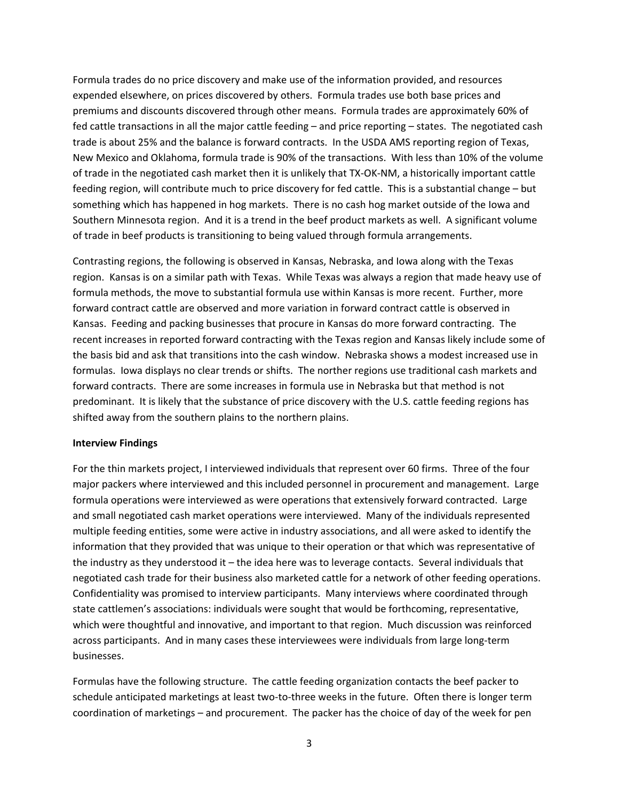Formula trades do no price discovery and make use of the information provided, and resources expended elsewhere, on prices discovered by others. Formula trades use both base prices and premiums and discounts discovered through other means. Formula trades are approximately 60% of fed cattle transactions in all the major cattle feeding – and price reporting – states. The negotiated cash trade is about 25% and the balance is forward contracts. In the USDA AMS reporting region of Texas, New Mexico and Oklahoma, formula trade is 90% of the transactions. With less than 10% of the volume of trade in the negotiated cash market then it is unlikely that TX‐OK‐NM, a historically important cattle feeding region, will contribute much to price discovery for fed cattle. This is a substantial change – but something which has happened in hog markets. There is no cash hog market outside of the Iowa and Southern Minnesota region. And it is a trend in the beef product markets as well. A significant volume of trade in beef products is transitioning to being valued through formula arrangements.

Contrasting regions, the following is observed in Kansas, Nebraska, and Iowa along with the Texas region. Kansas is on a similar path with Texas. While Texas was always a region that made heavy use of formula methods, the move to substantial formula use within Kansas is more recent. Further, more forward contract cattle are observed and more variation in forward contract cattle is observed in Kansas. Feeding and packing businesses that procure in Kansas do more forward contracting. The recent increases in reported forward contracting with the Texas region and Kansas likely include some of the basis bid and ask that transitions into the cash window. Nebraska shows a modest increased use in formulas. Iowa displays no clear trends or shifts. The norther regions use traditional cash markets and forward contracts. There are some increases in formula use in Nebraska but that method is not predominant. It is likely that the substance of price discovery with the U.S. cattle feeding regions has shifted away from the southern plains to the northern plains.

### **Interview Findings**

For the thin markets project, I interviewed individuals that represent over 60 firms. Three of the four major packers where interviewed and this included personnel in procurement and management. Large formula operations were interviewed as were operations that extensively forward contracted. Large and small negotiated cash market operations were interviewed. Many of the individuals represented multiple feeding entities, some were active in industry associations, and all were asked to identify the information that they provided that was unique to their operation or that which was representative of the industry as they understood it – the idea here was to leverage contacts. Several individuals that negotiated cash trade for their business also marketed cattle for a network of other feeding operations. Confidentiality was promised to interview participants. Many interviews where coordinated through state cattlemen's associations: individuals were sought that would be forthcoming, representative, which were thoughtful and innovative, and important to that region. Much discussion was reinforced across participants. And in many cases these interviewees were individuals from large long‐term businesses.

Formulas have the following structure. The cattle feeding organization contacts the beef packer to schedule anticipated marketings at least two-to-three weeks in the future. Often there is longer term coordination of marketings – and procurement. The packer has the choice of day of the week for pen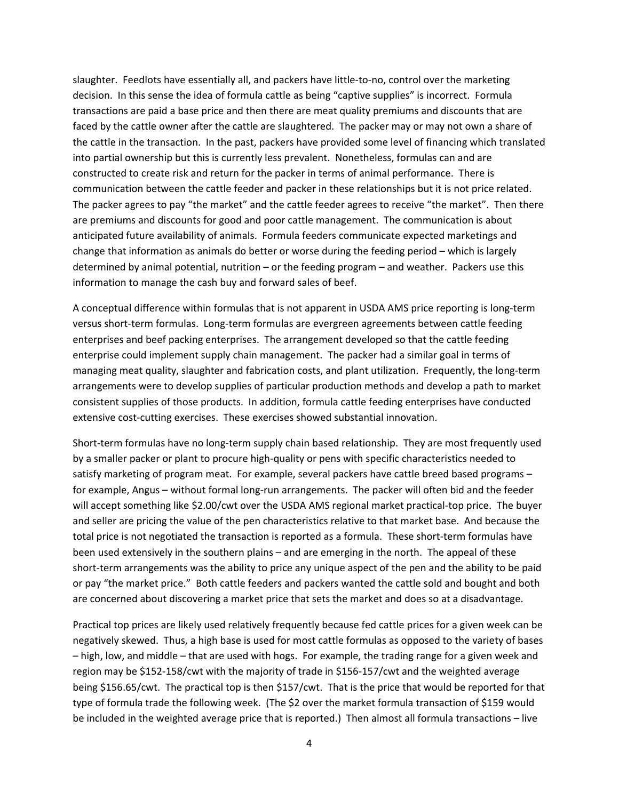slaughter. Feedlots have essentially all, and packers have little-to-no, control over the marketing decision. In this sense the idea of formula cattle as being "captive supplies" is incorrect. Formula transactions are paid a base price and then there are meat quality premiums and discounts that are faced by the cattle owner after the cattle are slaughtered. The packer may or may not own a share of the cattle in the transaction. In the past, packers have provided some level of financing which translated into partial ownership but this is currently less prevalent. Nonetheless, formulas can and are constructed to create risk and return for the packer in terms of animal performance. There is communication between the cattle feeder and packer in these relationships but it is not price related. The packer agrees to pay "the market" and the cattle feeder agrees to receive "the market". Then there are premiums and discounts for good and poor cattle management. The communication is about anticipated future availability of animals. Formula feeders communicate expected marketings and change that information as animals do better or worse during the feeding period – which is largely determined by animal potential, nutrition – or the feeding program – and weather. Packers use this information to manage the cash buy and forward sales of beef.

A conceptual difference within formulas that is not apparent in USDA AMS price reporting is long‐term versus short‐term formulas. Long‐term formulas are evergreen agreements between cattle feeding enterprises and beef packing enterprises. The arrangement developed so that the cattle feeding enterprise could implement supply chain management. The packer had a similar goal in terms of managing meat quality, slaughter and fabrication costs, and plant utilization. Frequently, the long-term arrangements were to develop supplies of particular production methods and develop a path to market consistent supplies of those products. In addition, formula cattle feeding enterprises have conducted extensive cost-cutting exercises. These exercises showed substantial innovation.

Short‐term formulas have no long‐term supply chain based relationship. They are most frequently used by a smaller packer or plant to procure high‐quality or pens with specific characteristics needed to satisfy marketing of program meat. For example, several packers have cattle breed based programs – for example, Angus – without formal long-run arrangements. The packer will often bid and the feeder will accept something like \$2.00/cwt over the USDA AMS regional market practical-top price. The buyer and seller are pricing the value of the pen characteristics relative to that market base. And because the total price is not negotiated the transaction is reported as a formula. These short-term formulas have been used extensively in the southern plains – and are emerging in the north. The appeal of these short-term arrangements was the ability to price any unique aspect of the pen and the ability to be paid or pay "the market price." Both cattle feeders and packers wanted the cattle sold and bought and both are concerned about discovering a market price that sets the market and does so at a disadvantage.

Practical top prices are likely used relatively frequently because fed cattle prices for a given week can be negatively skewed. Thus, a high base is used for most cattle formulas as opposed to the variety of bases – high, low, and middle – that are used with hogs. For example, the trading range for a given week and region may be \$152‐158/cwt with the majority of trade in \$156‐157/cwt and the weighted average being \$156.65/cwt. The practical top is then \$157/cwt. That is the price that would be reported for that type of formula trade the following week. (The \$2 over the market formula transaction of \$159 would be included in the weighted average price that is reported.) Then almost all formula transactions – live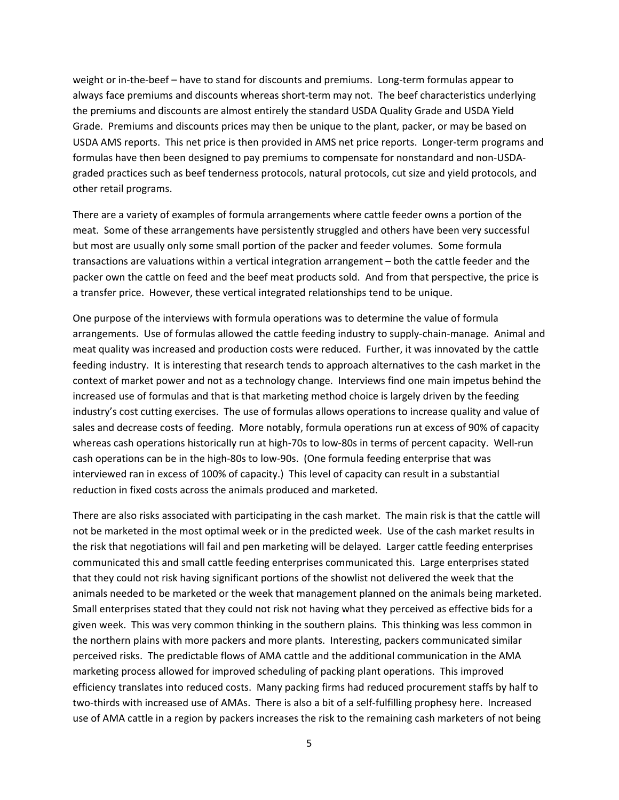weight or in-the-beef – have to stand for discounts and premiums. Long-term formulas appear to always face premiums and discounts whereas short-term may not. The beef characteristics underlying the premiums and discounts are almost entirely the standard USDA Quality Grade and USDA Yield Grade. Premiums and discounts prices may then be unique to the plant, packer, or may be based on USDA AMS reports. This net price is then provided in AMS net price reports. Longer‐term programs and formulas have then been designed to pay premiums to compensate for nonstandard and non‐USDA‐ graded practices such as beef tenderness protocols, natural protocols, cut size and yield protocols, and other retail programs.

There are a variety of examples of formula arrangements where cattle feeder owns a portion of the meat. Some of these arrangements have persistently struggled and others have been very successful but most are usually only some small portion of the packer and feeder volumes. Some formula transactions are valuations within a vertical integration arrangement – both the cattle feeder and the packer own the cattle on feed and the beef meat products sold. And from that perspective, the price is a transfer price. However, these vertical integrated relationships tend to be unique.

One purpose of the interviews with formula operations was to determine the value of formula arrangements. Use of formulas allowed the cattle feeding industry to supply‐chain‐manage. Animal and meat quality was increased and production costs were reduced. Further, it was innovated by the cattle feeding industry. It is interesting that research tends to approach alternatives to the cash market in the context of market power and not as a technology change. Interviews find one main impetus behind the increased use of formulas and that is that marketing method choice is largely driven by the feeding industry's cost cutting exercises. The use of formulas allows operations to increase quality and value of sales and decrease costs of feeding. More notably, formula operations run at excess of 90% of capacity whereas cash operations historically run at high-70s to low-80s in terms of percent capacity. Well-run cash operations can be in the high‐80s to low‐90s. (One formula feeding enterprise that was interviewed ran in excess of 100% of capacity.) This level of capacity can result in a substantial reduction in fixed costs across the animals produced and marketed.

There are also risks associated with participating in the cash market. The main risk is that the cattle will not be marketed in the most optimal week or in the predicted week. Use of the cash market results in the risk that negotiations will fail and pen marketing will be delayed. Larger cattle feeding enterprises communicated this and small cattle feeding enterprises communicated this. Large enterprises stated that they could not risk having significant portions of the showlist not delivered the week that the animals needed to be marketed or the week that management planned on the animals being marketed. Small enterprises stated that they could not risk not having what they perceived as effective bids for a given week. This was very common thinking in the southern plains. This thinking was less common in the northern plains with more packers and more plants. Interesting, packers communicated similar perceived risks. The predictable flows of AMA cattle and the additional communication in the AMA marketing process allowed for improved scheduling of packing plant operations. This improved efficiency translates into reduced costs. Many packing firms had reduced procurement staffs by half to two‐thirds with increased use of AMAs. There is also a bit of a self‐fulfilling prophesy here. Increased use of AMA cattle in a region by packers increases the risk to the remaining cash marketers of not being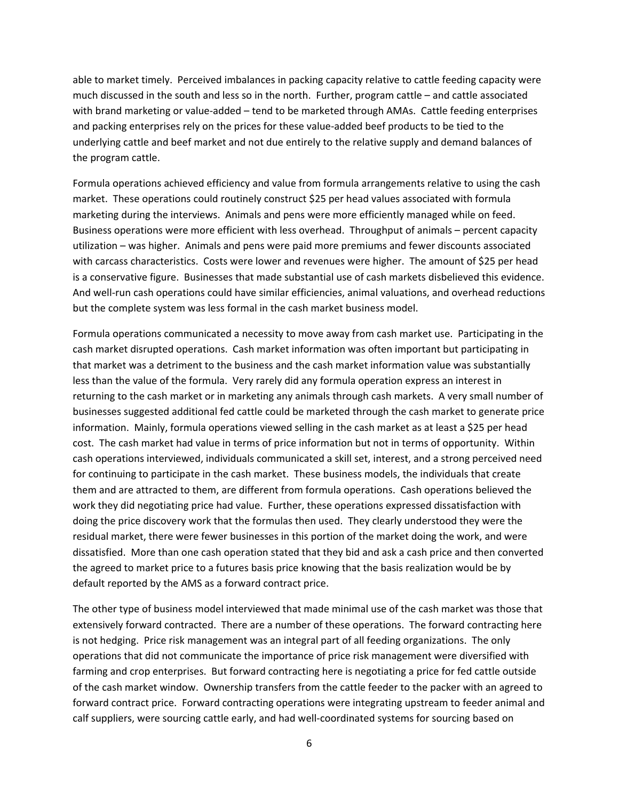able to market timely. Perceived imbalances in packing capacity relative to cattle feeding capacity were much discussed in the south and less so in the north. Further, program cattle – and cattle associated with brand marketing or value-added – tend to be marketed through AMAs. Cattle feeding enterprises and packing enterprises rely on the prices for these value‐added beef products to be tied to the underlying cattle and beef market and not due entirely to the relative supply and demand balances of the program cattle.

Formula operations achieved efficiency and value from formula arrangements relative to using the cash market. These operations could routinely construct \$25 per head values associated with formula marketing during the interviews. Animals and pens were more efficiently managed while on feed. Business operations were more efficient with less overhead. Throughput of animals – percent capacity utilization – was higher. Animals and pens were paid more premiums and fewer discounts associated with carcass characteristics. Costs were lower and revenues were higher. The amount of \$25 per head is a conservative figure. Businesses that made substantial use of cash markets disbelieved this evidence. And well‐run cash operations could have similar efficiencies, animal valuations, and overhead reductions but the complete system was less formal in the cash market business model.

Formula operations communicated a necessity to move away from cash market use. Participating in the cash market disrupted operations. Cash market information was often important but participating in that market was a detriment to the business and the cash market information value was substantially less than the value of the formula. Very rarely did any formula operation express an interest in returning to the cash market or in marketing any animals through cash markets. A very small number of businesses suggested additional fed cattle could be marketed through the cash market to generate price information. Mainly, formula operations viewed selling in the cash market as at least a \$25 per head cost. The cash market had value in terms of price information but not in terms of opportunity. Within cash operations interviewed, individuals communicated a skill set, interest, and a strong perceived need for continuing to participate in the cash market. These business models, the individuals that create them and are attracted to them, are different from formula operations. Cash operations believed the work they did negotiating price had value. Further, these operations expressed dissatisfaction with doing the price discovery work that the formulas then used. They clearly understood they were the residual market, there were fewer businesses in this portion of the market doing the work, and were dissatisfied. More than one cash operation stated that they bid and ask a cash price and then converted the agreed to market price to a futures basis price knowing that the basis realization would be by default reported by the AMS as a forward contract price.

The other type of business model interviewed that made minimal use of the cash market was those that extensively forward contracted. There are a number of these operations. The forward contracting here is not hedging. Price risk management was an integral part of all feeding organizations. The only operations that did not communicate the importance of price risk management were diversified with farming and crop enterprises. But forward contracting here is negotiating a price for fed cattle outside of the cash market window. Ownership transfers from the cattle feeder to the packer with an agreed to forward contract price. Forward contracting operations were integrating upstream to feeder animal and calf suppliers, were sourcing cattle early, and had well-coordinated systems for sourcing based on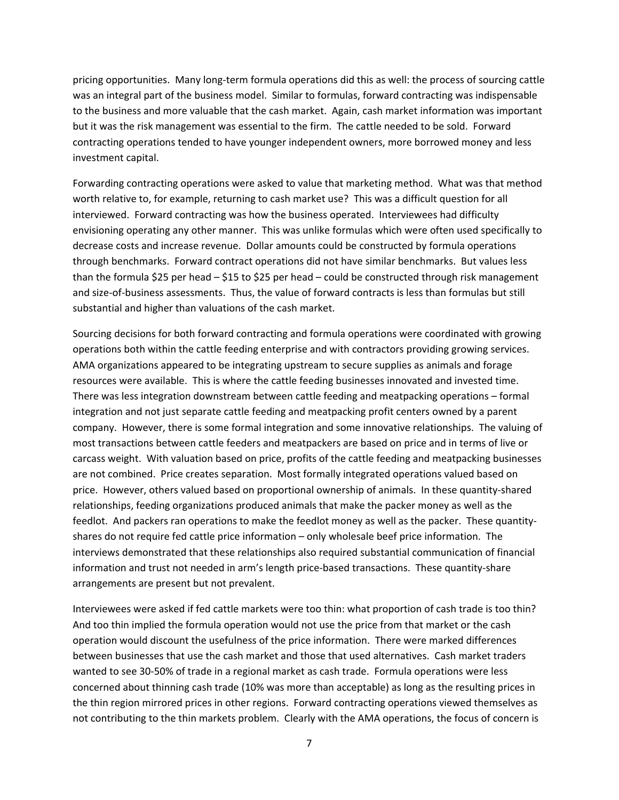pricing opportunities. Many long‐term formula operations did this as well: the process of sourcing cattle was an integral part of the business model. Similar to formulas, forward contracting was indispensable to the business and more valuable that the cash market. Again, cash market information was important but it was the risk management was essential to the firm. The cattle needed to be sold. Forward contracting operations tended to have younger independent owners, more borrowed money and less investment capital.

Forwarding contracting operations were asked to value that marketing method. What was that method worth relative to, for example, returning to cash market use? This was a difficult question for all interviewed. Forward contracting was how the business operated. Interviewees had difficulty envisioning operating any other manner. This was unlike formulas which were often used specifically to decrease costs and increase revenue. Dollar amounts could be constructed by formula operations through benchmarks. Forward contract operations did not have similar benchmarks. But values less than the formula \$25 per head – \$15 to \$25 per head – could be constructed through risk management and size‐of‐business assessments. Thus, the value of forward contracts is less than formulas but still substantial and higher than valuations of the cash market.

Sourcing decisions for both forward contracting and formula operations were coordinated with growing operations both within the cattle feeding enterprise and with contractors providing growing services. AMA organizations appeared to be integrating upstream to secure supplies as animals and forage resources were available. This is where the cattle feeding businesses innovated and invested time. There was less integration downstream between cattle feeding and meatpacking operations – formal integration and not just separate cattle feeding and meatpacking profit centers owned by a parent company. However, there is some formal integration and some innovative relationships. The valuing of most transactions between cattle feeders and meatpackers are based on price and in terms of live or carcass weight. With valuation based on price, profits of the cattle feeding and meatpacking businesses are not combined. Price creates separation. Most formally integrated operations valued based on price. However, others valued based on proportional ownership of animals. In these quantity‐shared relationships, feeding organizations produced animals that make the packer money as well as the feedlot. And packers ran operations to make the feedlot money as well as the packer. These quantity‐ shares do not require fed cattle price information – only wholesale beef price information. The interviews demonstrated that these relationships also required substantial communication of financial information and trust not needed in arm's length price‐based transactions. These quantity‐share arrangements are present but not prevalent.

Interviewees were asked if fed cattle markets were too thin: what proportion of cash trade is too thin? And too thin implied the formula operation would not use the price from that market or the cash operation would discount the usefulness of the price information. There were marked differences between businesses that use the cash market and those that used alternatives. Cash market traders wanted to see 30‐50% of trade in a regional market as cash trade. Formula operations were less concerned about thinning cash trade (10% was more than acceptable) as long as the resulting prices in the thin region mirrored prices in other regions. Forward contracting operations viewed themselves as not contributing to the thin markets problem. Clearly with the AMA operations, the focus of concern is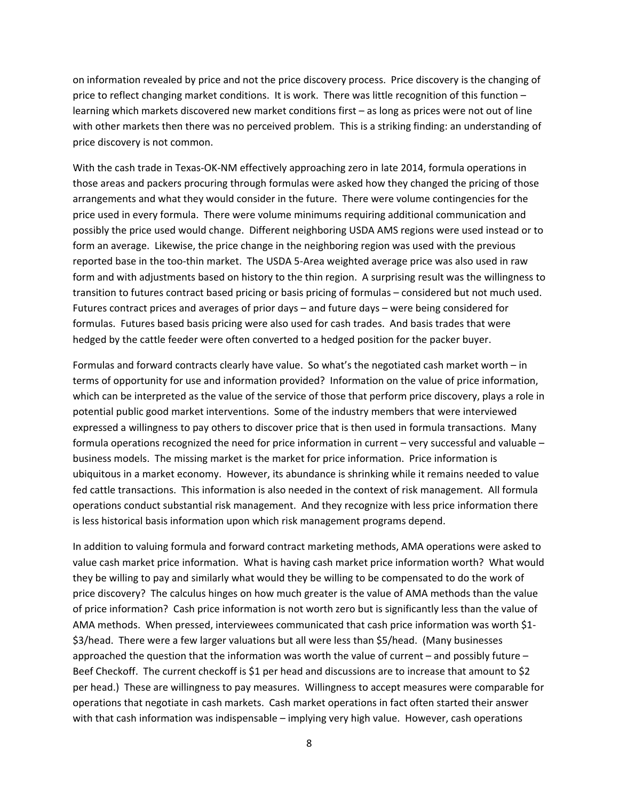on information revealed by price and not the price discovery process. Price discovery is the changing of price to reflect changing market conditions. It is work. There was little recognition of this function – learning which markets discovered new market conditions first – as long as prices were not out of line with other markets then there was no perceived problem. This is a striking finding: an understanding of price discovery is not common.

With the cash trade in Texas-OK-NM effectively approaching zero in late 2014, formula operations in those areas and packers procuring through formulas were asked how they changed the pricing of those arrangements and what they would consider in the future. There were volume contingencies for the price used in every formula. There were volume minimums requiring additional communication and possibly the price used would change. Different neighboring USDA AMS regions were used instead or to form an average. Likewise, the price change in the neighboring region was used with the previous reported base in the too‐thin market. The USDA 5‐Area weighted average price was also used in raw form and with adjustments based on history to the thin region. A surprising result was the willingness to transition to futures contract based pricing or basis pricing of formulas – considered but not much used. Futures contract prices and averages of prior days – and future days – were being considered for formulas. Futures based basis pricing were also used for cash trades. And basis trades that were hedged by the cattle feeder were often converted to a hedged position for the packer buyer.

Formulas and forward contracts clearly have value. So what's the negotiated cash market worth – in terms of opportunity for use and information provided? Information on the value of price information, which can be interpreted as the value of the service of those that perform price discovery, plays a role in potential public good market interventions. Some of the industry members that were interviewed expressed a willingness to pay others to discover price that is then used in formula transactions. Many formula operations recognized the need for price information in current – very successful and valuable – business models. The missing market is the market for price information. Price information is ubiquitous in a market economy. However, its abundance is shrinking while it remains needed to value fed cattle transactions. This information is also needed in the context of risk management. All formula operations conduct substantial risk management. And they recognize with less price information there is less historical basis information upon which risk management programs depend.

In addition to valuing formula and forward contract marketing methods, AMA operations were asked to value cash market price information. What is having cash market price information worth? What would they be willing to pay and similarly what would they be willing to be compensated to do the work of price discovery? The calculus hinges on how much greater is the value of AMA methods than the value of price information? Cash price information is not worth zero but is significantly less than the value of AMA methods. When pressed, interviewees communicated that cash price information was worth \$1‐ \$3/head. There were a few larger valuations but all were less than \$5/head. (Many businesses approached the question that the information was worth the value of current – and possibly future – Beef Checkoff. The current checkoff is \$1 per head and discussions are to increase that amount to \$2 per head.) These are willingness to pay measures. Willingness to accept measures were comparable for operations that negotiate in cash markets. Cash market operations in fact often started their answer with that cash information was indispensable – implying very high value. However, cash operations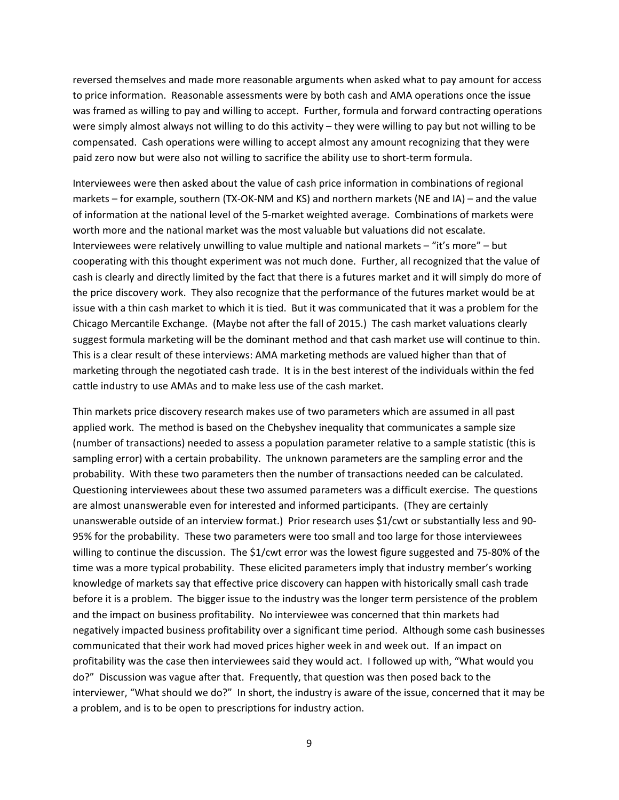reversed themselves and made more reasonable arguments when asked what to pay amount for access to price information. Reasonable assessments were by both cash and AMA operations once the issue was framed as willing to pay and willing to accept. Further, formula and forward contracting operations were simply almost always not willing to do this activity – they were willing to pay but not willing to be compensated. Cash operations were willing to accept almost any amount recognizing that they were paid zero now but were also not willing to sacrifice the ability use to short-term formula.

Interviewees were then asked about the value of cash price information in combinations of regional markets – for example, southern (TX-OK-NM and KS) and northern markets (NE and IA) – and the value of information at the national level of the 5-market weighted average. Combinations of markets were worth more and the national market was the most valuable but valuations did not escalate. Interviewees were relatively unwilling to value multiple and national markets – "it's more" – but cooperating with this thought experiment was not much done. Further, all recognized that the value of cash is clearly and directly limited by the fact that there is a futures market and it will simply do more of the price discovery work. They also recognize that the performance of the futures market would be at issue with a thin cash market to which it is tied. But it was communicated that it was a problem for the Chicago Mercantile Exchange. (Maybe not after the fall of 2015.) The cash market valuations clearly suggest formula marketing will be the dominant method and that cash market use will continue to thin. This is a clear result of these interviews: AMA marketing methods are valued higher than that of marketing through the negotiated cash trade. It is in the best interest of the individuals within the fed cattle industry to use AMAs and to make less use of the cash market.

Thin markets price discovery research makes use of two parameters which are assumed in all past applied work. The method is based on the Chebyshev inequality that communicates a sample size (number of transactions) needed to assess a population parameter relative to a sample statistic (this is sampling error) with a certain probability. The unknown parameters are the sampling error and the probability. With these two parameters then the number of transactions needed can be calculated. Questioning interviewees about these two assumed parameters was a difficult exercise. The questions are almost unanswerable even for interested and informed participants. (They are certainly unanswerable outside of an interview format.) Prior research uses \$1/cwt or substantially less and 90‐ 95% for the probability. These two parameters were too small and too large for those interviewees willing to continue the discussion. The \$1/cwt error was the lowest figure suggested and 75‐80% of the time was a more typical probability. These elicited parameters imply that industry member's working knowledge of markets say that effective price discovery can happen with historically small cash trade before it is a problem. The bigger issue to the industry was the longer term persistence of the problem and the impact on business profitability. No interviewee was concerned that thin markets had negatively impacted business profitability over a significant time period. Although some cash businesses communicated that their work had moved prices higher week in and week out. If an impact on profitability was the case then interviewees said they would act. I followed up with, "What would you do?" Discussion was vague after that. Frequently, that question was then posed back to the interviewer, "What should we do?" In short, the industry is aware of the issue, concerned that it may be a problem, and is to be open to prescriptions for industry action.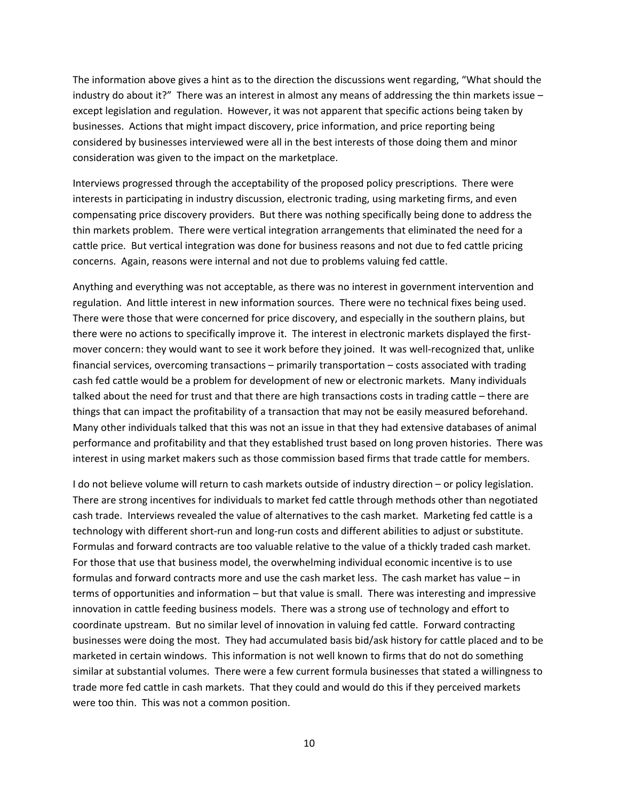The information above gives a hint as to the direction the discussions went regarding, "What should the industry do about it?" There was an interest in almost any means of addressing the thin markets issue – except legislation and regulation. However, it was not apparent that specific actions being taken by businesses. Actions that might impact discovery, price information, and price reporting being considered by businesses interviewed were all in the best interests of those doing them and minor consideration was given to the impact on the marketplace.

Interviews progressed through the acceptability of the proposed policy prescriptions. There were interests in participating in industry discussion, electronic trading, using marketing firms, and even compensating price discovery providers. But there was nothing specifically being done to address the thin markets problem. There were vertical integration arrangements that eliminated the need for a cattle price. But vertical integration was done for business reasons and not due to fed cattle pricing concerns. Again, reasons were internal and not due to problems valuing fed cattle.

Anything and everything was not acceptable, as there was no interest in government intervention and regulation. And little interest in new information sources. There were no technical fixes being used. There were those that were concerned for price discovery, and especially in the southern plains, but there were no actions to specifically improve it. The interest in electronic markets displayed the first‐ mover concern: they would want to see it work before they joined. It was well-recognized that, unlike financial services, overcoming transactions – primarily transportation – costs associated with trading cash fed cattle would be a problem for development of new or electronic markets. Many individuals talked about the need for trust and that there are high transactions costs in trading cattle – there are things that can impact the profitability of a transaction that may not be easily measured beforehand. Many other individuals talked that this was not an issue in that they had extensive databases of animal performance and profitability and that they established trust based on long proven histories. There was interest in using market makers such as those commission based firms that trade cattle for members.

I do not believe volume will return to cash markets outside of industry direction – or policy legislation. There are strong incentives for individuals to market fed cattle through methods other than negotiated cash trade. Interviews revealed the value of alternatives to the cash market. Marketing fed cattle is a technology with different short‐run and long‐run costs and different abilities to adjust or substitute. Formulas and forward contracts are too valuable relative to the value of a thickly traded cash market. For those that use that business model, the overwhelming individual economic incentive is to use formulas and forward contracts more and use the cash market less. The cash market has value – in terms of opportunities and information – but that value is small. There was interesting and impressive innovation in cattle feeding business models. There was a strong use of technology and effort to coordinate upstream. But no similar level of innovation in valuing fed cattle. Forward contracting businesses were doing the most. They had accumulated basis bid/ask history for cattle placed and to be marketed in certain windows. This information is not well known to firms that do not do something similar at substantial volumes. There were a few current formula businesses that stated a willingness to trade more fed cattle in cash markets. That they could and would do this if they perceived markets were too thin. This was not a common position.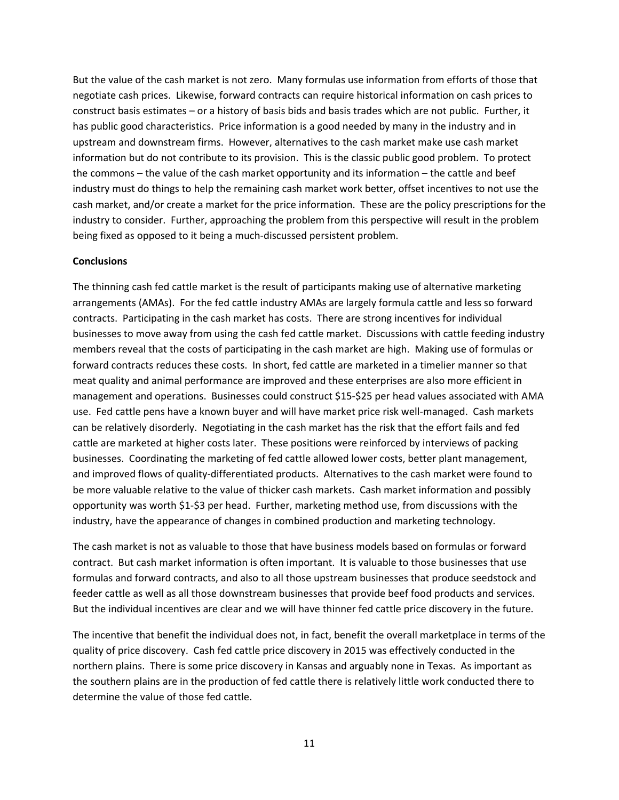But the value of the cash market is not zero. Many formulas use information from efforts of those that negotiate cash prices. Likewise, forward contracts can require historical information on cash prices to construct basis estimates – or a history of basis bids and basis trades which are not public. Further, it has public good characteristics. Price information is a good needed by many in the industry and in upstream and downstream firms. However, alternatives to the cash market make use cash market information but do not contribute to its provision. This is the classic public good problem. To protect the commons – the value of the cash market opportunity and its information – the cattle and beef industry must do things to help the remaining cash market work better, offset incentives to not use the cash market, and/or create a market for the price information. These are the policy prescriptions for the industry to consider. Further, approaching the problem from this perspective will result in the problem being fixed as opposed to it being a much‐discussed persistent problem.

#### **Conclusions**

The thinning cash fed cattle market is the result of participants making use of alternative marketing arrangements (AMAs). For the fed cattle industry AMAs are largely formula cattle and less so forward contracts. Participating in the cash market has costs. There are strong incentives for individual businesses to move away from using the cash fed cattle market. Discussions with cattle feeding industry members reveal that the costs of participating in the cash market are high. Making use of formulas or forward contracts reduces these costs. In short, fed cattle are marketed in a timelier manner so that meat quality and animal performance are improved and these enterprises are also more efficient in management and operations. Businesses could construct \$15‐\$25 per head values associated with AMA use. Fed cattle pens have a known buyer and will have market price risk well-managed. Cash markets can be relatively disorderly. Negotiating in the cash market has the risk that the effort fails and fed cattle are marketed at higher costs later. These positions were reinforced by interviews of packing businesses. Coordinating the marketing of fed cattle allowed lower costs, better plant management, and improved flows of quality‐differentiated products. Alternatives to the cash market were found to be more valuable relative to the value of thicker cash markets. Cash market information and possibly opportunity was worth \$1‐\$3 per head. Further, marketing method use, from discussions with the industry, have the appearance of changes in combined production and marketing technology.

The cash market is not as valuable to those that have business models based on formulas or forward contract. But cash market information is often important. It is valuable to those businesses that use formulas and forward contracts, and also to all those upstream businesses that produce seedstock and feeder cattle as well as all those downstream businesses that provide beef food products and services. But the individual incentives are clear and we will have thinner fed cattle price discovery in the future.

The incentive that benefit the individual does not, in fact, benefit the overall marketplace in terms of the quality of price discovery. Cash fed cattle price discovery in 2015 was effectively conducted in the northern plains. There is some price discovery in Kansas and arguably none in Texas. As important as the southern plains are in the production of fed cattle there is relatively little work conducted there to determine the value of those fed cattle.